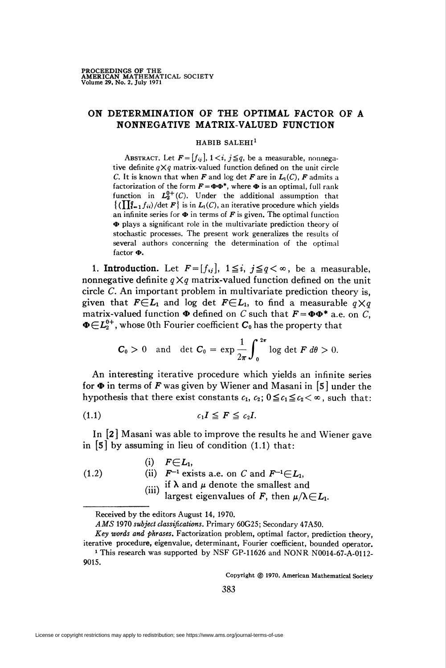## ON DETERMINATION OF THE OPTIMAL FACTOR OF A NONNEGATIVE MATRIX-VALUED FUNCTION

## HABIB SALEHI<sup>1</sup>

ABSTRACT. Let  $\mathbf{F} = [f_{ij}], 1 \leq i, j \leq q$ , be a measurable, nonnegative definite  $q \times q$  matrix-valued function defined on the unit circle C. It is known that when F and log det F are in  $L_1(C)$ , F admits a factorization of the form  $\mathbf{F} = \mathbf{\Phi} \mathbf{\Phi}^*$ , where  $\mathbf{\Phi}$  is an optimal, full rank function in  $L_2^{0+}$  (C). Under the additional assumption that  $\{(\prod_{i=1}^g f_{ii})/det F\}$  is in  $L_1(C)$ , an iterative procedure which yields an infinite series for  $\Phi$  in terms of F is given. The optimal function  $\Phi$  plays a significant role in the multivariate prediction theory of stochastic processes. The present work generalizes the results of several authors concerning the determination of the optimal factor  $\Phi$ .

1. Introduction. Let  $F=[f_{ij}], 1 \leq i, j \leq q < \infty$ , be a measurable, nonnegative definite  $q \times q$  matrix-valued function defined on the unit circle C. An important problem in multivariate prediction theory is, given that  $F \in L_1$  and log det  $F \in L_1$ , to find a measurable  $q \times q$ matrix-valued function  $\Phi$  defined on C such that  $F = \Phi \Phi^*$  a.e. on C,  $\Phi \in L_2^{0+}$ , whose 0th Fourier coefficient  $C_0$  has the property that

$$
C_0 > 0 \quad \text{and} \quad \det C_0 = \exp \frac{1}{2\pi} \int_0^{2\pi} \log \det F \, d\theta > 0.
$$

An interesting iterative procedure which yields an infinite series for  $\Phi$  in terms of F was given by Wiener and Masani in [5] under the hypothesis that there exist constants  $c_1$ ,  $c_2$ ;  $0 \le c_1 \le c_2 < \infty$ , such that:

$$
(1.1) \t\t c_1 I \leq F \leq c_2 I
$$

In [2] Masani was able to improve the results he and Wiener gave in [5] by assuming in lieu of condition (1.1) that:

(1.2) (i) 
$$
F \in L_1
$$
,  
\n(ii)  $F^{-1}$  exists a.e. on C and  $F^{-1} \in L_1$ ,  
\n(iii) if  $\lambda$  and  $\mu$  denote the smallest and  
\nlargest eigenvalues of F, then  $\mu/\lambda \in L_1$ .

Copyright ® 1970, American Mathematical Society

383

Received by the editors August 14, 1970.

A MS 1970 subject classifications. Primary 60G25; Secondary 47A50.

Key words and phrases. Factorization problem, optimal factor, prediction theory, iterative procedure, eigenvalue, determinant, Fourier coefficient, bounded operator.

<sup>&</sup>lt;sup>1</sup> This research was supported by NSF GP-11626 and NONR N0014-67-A-0112-9015.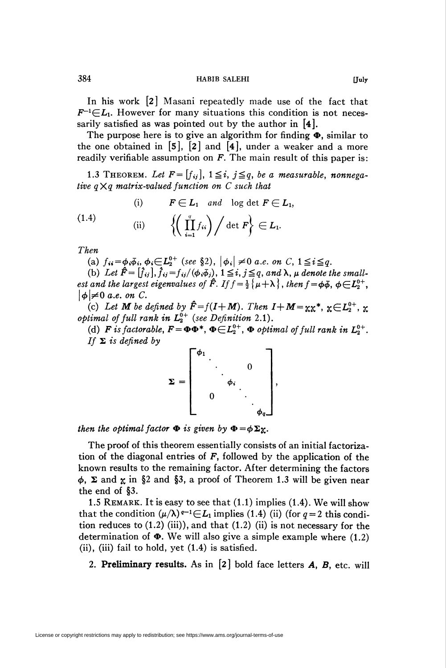## 384 HABIB SALEHI [July

In his work [2] Masani repeatedly made use of the fact that  $F^{-1} \in L_1$ . However for many situations this condition is not necessarily satisfied as was pointed out by the author in [4].

The purpose here is to give an algorithm for finding  $\Phi$ , similar to the one obtained in  $\lceil 5 \rceil$ ,  $\lceil 2 \rceil$  and  $\lceil 4 \rceil$ , under a weaker and a more readily verifiable assumption on  $F$ . The main result of this paper is:

1.3 THEOREM. Let  $F = [f_{ij}], 1 \leq i, j \leq q$ , be a measurable, nonnegative  $q \times q$  matrix-valued function on C such that

(1.4)  
\n(i) 
$$
F \in L_1
$$
 and log det  $F \in L_1$ ,  
\n(ii)  $\left\langle \left( \prod_{i=1}^q f_{ii} \right) / \det F \right\rangle \in L_1$ .

Then

(a)  $f_{ii}=\phi_i\overline{\phi_i}, \phi_i\in L_2^{0+}$  (see §2),  $|\phi_i|\neq 0$  a.e. on C,  $1\leq i\leq q$ .

(b) Let  $\hat{F} = [\hat{f}_{ij}], \hat{f}_{ij} = f_{ij}/(\phi_i \bar{\phi}_j), 1 \leq i, j \leq q$ , and  $\lambda$ ,  $\mu$  denote the smallest and the largest eigenvalues of  $\hat{F}$ . If  $f=\frac{1}{2}\{\mu+\lambda\}$ , then  $f=\phi\bar{\phi}$ ,  $\phi\in L_2^{0+}$ ,  $\vert \phi \vert \neq 0$  a.e. on C.

(c) Let **M** be defined by  $\hat{F} = f(I+M)$ . Then  $I+M = \chi \chi^*$ ,  $\chi \in L_2^{0+}$ , x optimal of full rank in  $L_2^{0+}$  (see Definition 2.1).

(d) F is factorable,  $F = \Phi \Phi^*, \Phi \in L_2^{0+}, \Phi$  optimal of full rank in  $L_2^{0+}.$ If  $\Sigma$  is defined by

$$
\Sigma = \begin{bmatrix} \phi_1 & & & & \\ & \ddots & & & \\ & & \phi_i & & \\ & & & & \\ 0 & & & & \\ & & & & & \\ & & & & & \\ & & & & & \\ & & & & & \\ & & & & & & \\ & & & & & & \\ & & & & & & \\ & & & & & & & \\ & & & & & & & \\ & & & & & & & \\ & & & & & & & \\ & & & & & & & & \\ & & & & & & & & \\ & & & & & & & & & \\ & & & & & & & & & \\ & & & & & & & & & \\ & & & & & & & & & & \\ & & & & & & & & & & \\ & & & & & & & & & & & \\ & & & & & & & & & & & & \\ & & & & & & & & & & & & \\ & & & & & & & & & & & & & \\ & & & & & & & & & & & & & \\ & & & & & & & & & & & & & \\ & & & & & & & & & & & & & \\ &
$$

then the optimal factor  $\Phi$  is given by  $\Phi = \phi \Sigma \chi$ .

The proof of this theorem essentially consists of an initial factorization of the diagonal entries of  $F$ , followed by the application of the known results to the remaining factor. After determining the factors  $\phi$ ,  $\Sigma$  and  $\chi$  in §2 and §3, a proof of Theorem 1.3 will be given near the end of §3.

1.5 REMARK. It is easy to see that  $(1.1)$  implies  $(1.4)$ . We will show that the condition  $(\mu/\lambda)^{q-1} \in L_1$  implies (1.4) (ii) (for  $q = 2$  this condition reduces to  $(1.2)$   $(iii)$ ), and that  $(1.2)$   $(ii)$  is not necessary for the determination of  $\Phi$ . We will also give a simple example where (1.2) (ii), (iii) fail to hold, yet (1.4) is satisfied.

2. Preliminary results. As in  $[2]$  bold face letters  $\boldsymbol{A}$ ,  $\boldsymbol{B}$ , etc. will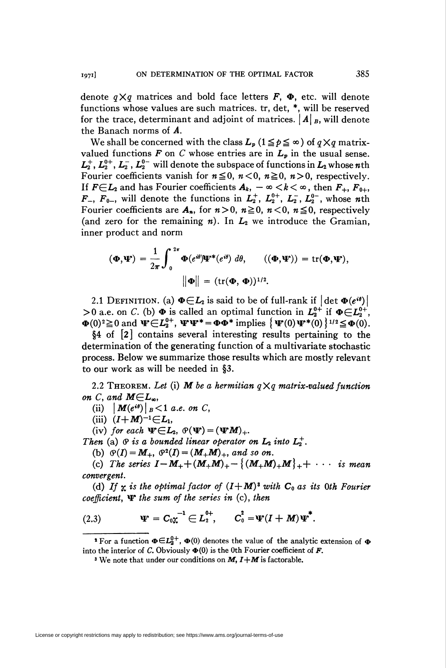denote  $q \times q$  matrices and bold face letters  $\vec{F}$ ,  $\Phi$ , etc. will denote functions whose values are such matrices, tr, det, \*, will be reserved for the trace, determinant and adjoint of matrices.  $\left| A \right|_B$ , will denote the Banach norms of A.

We shall be concerned with the class  $L_p$  ( $1 \leq p \leq \infty$ ) of  $q \times q$  matrixvalued functions  $F$  on  $C$  whose entries are in  $L_p$  in the usual sense.  $L_2^+, L_2^{0+}, L_2^-, L_2^{0-}$  will denote the subspace of functions in  $L_2$  whose nth Fourier coefficients vanish for  $n \le 0$ ,  $n < 0$ ,  $n \ge 0$ ,  $n > 0$ , respectively. If  $F \in L_2$  and has Fourier coefficients  $A_k$ ,  $-\infty < k < \infty$ , then  $F_+, F_{0+},$  $F_-, F_{0-}$ , will denote the functions in  $L_2^+, L_2^{0+}, L_2^{-}, L_2^{0-}$ , whose nth Fourier coefficients are  $A_n$ , for  $n > 0$ ,  $n \ge 0$ ,  $n < 0$ ,  $n \le 0$ , respectively (and zero for the remaining  $n$ ). In  $L_2$  we introduce the Gramian, inner product and norm

$$
(\mathbf{\Phi}, \mathbf{\Psi}) = \frac{1}{2\pi} \int_0^{2\pi} \mathbf{\Phi}(e^{i\theta}) \mathbf{\Psi}^*(e^{i\theta}) d\theta, \qquad ((\mathbf{\Phi}, \mathbf{\Psi})) = \text{tr}(\mathbf{\Phi}, \mathbf{\Psi}),
$$

$$
\|\mathbf{\Phi}\| = (\text{tr}(\mathbf{\Phi}, \mathbf{\Phi}))^{1/2}.
$$

2.1 DEFINITION. (a)  $\Phi \in L_2$  is said to be of full-rank if  $|\det \Phi(e^{i\theta})|$ >0 a.e. on C. (b)  $\Phi$  is called an optimal function in  $L_2^{0+}$  if  $\Phi \in L_2^{0+}$ ,  $\Phi(0)^2 \ge 0$  and  $\Psi \in L_2^{0+}$ ,  $\Psi \Psi^* = \Phi \Phi^*$  implies  ${\Psi(0) \Psi^*(0)}^{1/2} \le \Phi(0)$ .

§4 of [2] contains several interesting results pertaining to the determination of the generating function of a multivariate stochastic process. Below we summarize those results which are mostly relevant to our work as will be needed in §3.

2.2 THEOREM. Let (i) **M** be a hermitian  $q \times q$  matrix-valued function on C, and  $M \in L_{\infty}$ ,

(ii)  $|M(e^{i\theta})|_B < 1$  a.e. on C,

(iii)  $(I+M)^{-1} \in L_1$ ,

(iv) for each  $\Psi \in L_2$ ,  $\mathcal{P}(\Psi) = (\Psi M)_+.$ 

Then (a)  $\emptyset$  is a bounded linear operator on  $L_2$  into  $L_2^+$ .

(b)  $\mathcal{O}(I) = M_+$ ,  $\mathcal{O}^2(I) = (M_+M)_+$ , and so on.

(c) The series  $I - M_{+} + (M_{+}M)_{+} - \{(M_{+}M)_{+}M\}_{+} + \cdots$  is mean convergent.

(d) If  $\chi$  is the optimal factor of  $(I+M)^3$  with  $C_0$  as its 0th Fourier coefficient,  $\Psi$  the sum of the series in (c), then

(2.3) 
$$
\Psi = C_0 \chi^{-1} \in L_2^{0+}, \qquad C_0^2 = \Psi (I + M) \Psi^*.
$$

**Example 1** For a function  $\Phi \in L_2^{0+}$ ,  $\Phi(0)$  denotes the value of the analytic extension of  $\Phi$ into the interior of C. Obviously  $\Phi(0)$  is the 0th Fourier coefficient of F.

<sup>&</sup>lt;sup>3</sup> We note that under our conditions on  $M$ ,  $I + M$  is factorable.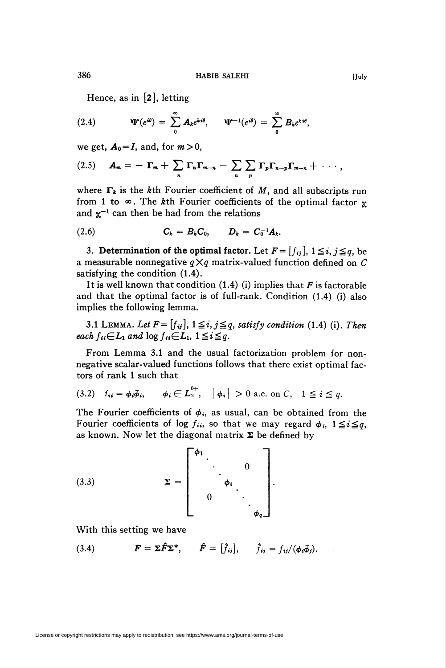Hence, as in [2], letting

(2.4) 
$$
\mathbf{\Psi}(e^{i\theta}) = \sum_{0}^{\infty} \mathbf{A}_k e^{k i\theta}, \qquad \mathbf{\Psi}^{-1}(e^{i\theta}) = \sum_{0}^{\infty} \mathbf{B}_k e^{k i\theta},
$$

we get,  $\mathbf{A}_0 = \mathbf{I}$ , and, for  $m > 0$ ,

$$
(2.5) \quad \boldsymbol{A}_m = - \boldsymbol{\Gamma}_m + \sum_n \boldsymbol{\Gamma}_n \boldsymbol{\Gamma}_{m-n} - \sum_n \sum_p \boldsymbol{\Gamma}_p \boldsymbol{\Gamma}_{n-p} \boldsymbol{\Gamma}_{m-n} + \cdots,
$$

where  $\Gamma_k$  is the k<sup>th</sup> Fourier coefficient of M, and all subscripts run from 1 to  $\infty$ . The *k*th Fourier coefficients of the optimal factor x and  $x^{-1}$  can then be had from the relations

(2.6) 
$$
C_k = B_k C_0, \qquad D_k = C_0^{-1} A_k.
$$

3. Determination of the optimal factor. Let  $F=[f_{ij}]$ ,  $1 \leq i, j \leq q$ , be a measurable nonnegative  $q \times q$  matrix-valued function defined on  $C$ satisfying the condition (1.4).

It is well known that condition  $(1.4)$  (i) implies that F is factorable and that the optimal factor is of full-rank. Condition (1.4) (i) also implies the following lemma.

3.1 LEMMA. Let  $F = [f_{ij}], 1 \leq i, j \leq q$ , satisfy condition (1.4) (i). Then each  $f_{ii} \in L_1$  and  $\log f_{ii} \in L_1$ ,  $1 \leq i \leq q$ .

From Lemma 3.1 and the usual factorization problem for nonnegative scalar-valued functions follows that there exist optimal factors of rank 1 such that

$$
(3.2) \quad f_{ii} = \phi_i \bar{\phi}_i, \qquad \phi_i \in L_2^{\sigma+}, \quad \left| \phi_i \right| \; > 0 \text{ a.e. on } C, \quad 1 \leq i \leq q.
$$

 $\ddot{\mathbf{a}}$ 

The Fourier coefficients of  $\phi_i$ , as usual, can be obtained from the Fourier coefficients of log  $f_{ii}$ , so that we may regard  $\phi_i$ ,  $1 \leq i \leq q$ , as known. Now let the diagonal matrix  $\Sigma$  be defined by

(3.3) 
$$
\mathbf{\Sigma} = \begin{bmatrix} \phi_1 & & & \\ & \ddots & & \\ & & \phi_i & \\ & & & \ddots \\ & & & & \ddots \\ & & & & & \phi_q \end{bmatrix}.
$$

With this setting we have

(3.4) 
$$
F = \Sigma \hat{F} \Sigma^*, \qquad \hat{F} = [\hat{f}_{ij}], \qquad \hat{f}_{ij} = f_{ij}/(\phi_i \bar{\phi}_j).
$$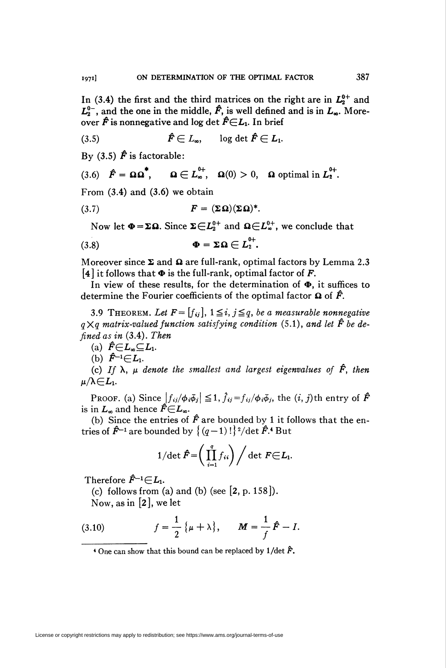In (3.4) the first and the third matrices on the right are in  $L_2^{0+}$  and  $L_2^{0-}$ , and the one in the middle,  $\hat{F}$ , is well defined and is in  $L_{\infty}$ . More-

over  $\hat{F}$  is nonnegative and log det  $\hat{F} \in L_1$ . In brief (3.5)  $\hat{F} \in L_{\infty}$ , log det  $\hat{F} \in L_1$ .

By (3.5)  $\hat{F}$  is factorable:

(3.6) 
$$
\hat{F} = \Omega \Omega^*
$$
,  $\Omega \in L_{\infty}^{0+}$ ,  $\Omega(0) > 0$ ,  $\Omega$  optimal in  $L_{2}^{0+}$ .

From (3.4) and (3.6) we obtain

$$
(3.7) \t\t\t\t F = (\Sigma \Omega)(\Sigma \Omega)^*.
$$

Now let  $\Phi = \Sigma \Omega$ . Since  $\Sigma \in L_2^{0+}$  and  $\Omega \in L_{\infty}^{0+}$ , we conclude that

$$
\Phi = \Sigma \Omega \in L_2^{0+}
$$

Moreover since  $\Sigma$  and  $\Omega$  are full-rank, optimal factors by Lemma 2.3 [4] it follows that  $\Phi$  is the full-rank, optimal factor of F.

In view of these results, for the determination of  $\Phi$ , it suffices to determine the Fourier coefficients of the optimal factor  $\Omega$  of  $\hat{F}$ .

3.9 THEOREM. Let  $F = [f_{ij}], 1 \leq i, j \leq q$ , be a measurable nonnegative  $q \times q$  matrix-valued function satisfying condition (5.1), and let  $\hat{F}$  be defined as in (3.4). Then

(a)  $\hat{F} \in L_{\infty} \subseteq L_1$ .

(b)  $\hat{F}^{-1} \in L_1$ .

(c) If  $\lambda$ ,  $\mu$  denote the smallest and largest eigenvalues of  $\hat{F}$ , then  $\mu/\lambda \in L_1$ .

Proof. (a) Since  $\left|f_{ij}/\phi_i\bar{\phi}_j\right| \leq 1$ ,  $\hat{f}_{ij} = f_{ij}/\phi_i\bar{\phi}_j$ , the  $(i, j)$ th entry of  $\hat{F}$ is in  $L_{\infty}$  and hence  $\hat{F} \in L_{\infty}$ .

(b) Since the entries of  $\hat{F}$  are bounded by 1 it follows that the entries of  $\hat{F}^{-1}$  are bounded by  $\{(q-1)!\}^2/\det \hat{F}^4$  But

$$
1/\det \hat{F} = \left(\prod_{i=1}^q f_{ii}\right) \bigg/ \det F \in L_1.
$$

Therefore  $\hat{F}^{-1} \in L_1$ .

(c) follows from (a) and (b) (see  $[2, p. 158]$ ). Now, as in [2], we let

(3.10) 
$$
f = \frac{1}{2} \{ \mu + \lambda \}, \qquad M = \frac{1}{f} \hat{F} - I.
$$

<sup>&</sup>lt;sup>4</sup> One can show that this bound can be replaced by  $1/\text{det } \hat{F}$ .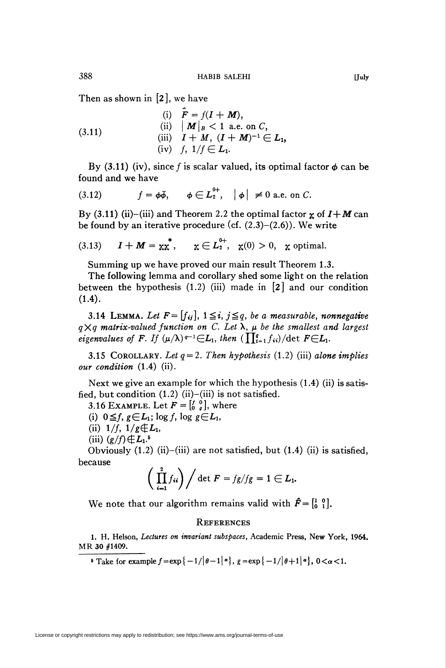Then as shown in [2 ], we have

(3.11)   
\n(i) 
$$
F = f(I + M),
$$
  
\n(ii)  $|M|_B < 1$  a.e. on C,  
\n(iii)  $I + M, (I + M)^{-1} \in L_1,$   
\n(iv)  $f, 1/f \in L_1.$ 

By (3.11) (iv), since f is scalar valued, its optimal factor  $\phi$  can be found and we have

$$
(3.12) \t f = \phi \bar{\phi}, \qquad \phi \in L_2^{0+}, \quad |\phi| \neq 0 \text{ a.e. on } C.
$$

By (3.11) (ii)–(iii) and Theorem 2.2 the optimal factor  $\chi$  of  $I + M$  can be found by an iterative procedure (cf.  $(2.3)$ – $(2.6)$ ). We write

(3.13) 
$$
I + M = \chi \chi^*, \quad \chi \in L_2^{0+}, \quad \chi(0) > 0, \quad \chi \text{ optimal}.
$$

Summing up we have proved our main result Theorem 1.3.

The following lemma and corollary shed some light on the relation between the hypothesis  $(1.2)$  (iii) made in [2] and our condition  $(1.4).$ 

3.14 LEMMA. Let  $F = [f_{ij}], 1 \leq i, j \leq q$ , be a measurable, nonnegative  $q \times q$  matrix-valued function on C. Let  $\lambda$ ,  $\mu$  be the smallest and largest eigenvalues of F. If  $(\mu/\lambda)^{q-1} \in L_1$ , then  $(\prod_{i=1}^q f_{ii})/det F \in L_1$ .

3.15 COROLLARY. Let  $q = 2$ . Then hypothesis (1.2) (iii) alone implies our condition (1.4) (ii).

Next we give an example for which the hypothesis  $(1.4)$  (ii) is satisfied, but condition  $(1.2)$  (ii)-(iii) is not satisfied.

3.16 EXAMPLE. Let  $F = \begin{bmatrix} 1 & 0 \\ 0 & g \end{bmatrix}$ , where

(i)  $0 \leq f, g \in L_1$ ; log f, log  $g \in L_1$ ,

(ii)  $1/f$ ,  $1/g \notin L_1$ ,

(iii)  $(g/f) \notin L_1$ .<sup>5</sup>

Obviously  $(1.2)$  (ii)-(iii) are not satisfied, but  $(1.4)$  (ii) is satisfied, because

$$
\left(\prod_{i=1}^2 f_{ii}\right)\bigg/ \det F = \frac{fg}{fg} = 1 \in L_1.
$$

We note that our algorithm remains valid with  $\hat{F} = \begin{bmatrix} 1 & 0 \\ 0 & 1 \end{bmatrix}$ .

## **REFERENCES**

1. H. Helson, Lectures on invariant subspaces, Academic Press, New York, 1964, MR 30 #1409.

<sup>5</sup> Take for example  $f = \exp\{-1/|\theta-1| \alpha\}$ ,  $g = \exp\{-1/|\theta+1| \alpha\}$ ,  $0 < \alpha < 1$ .